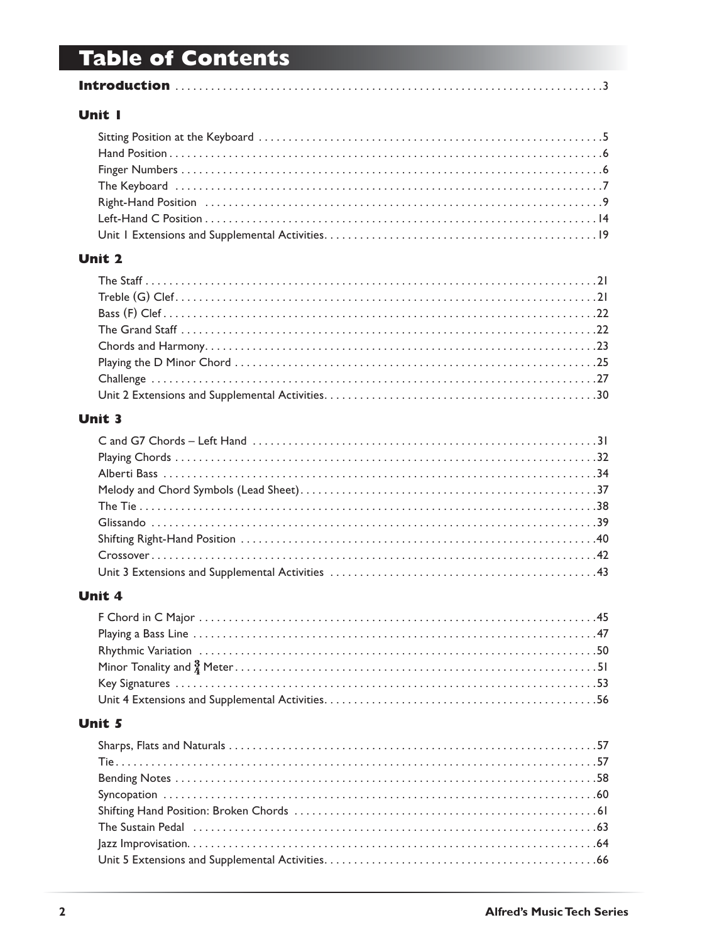## **Table of Contents**

|--|--|

#### Unit I

#### **Unit 2**

#### **Unit 3**

#### **Unit 4**

#### Unit 5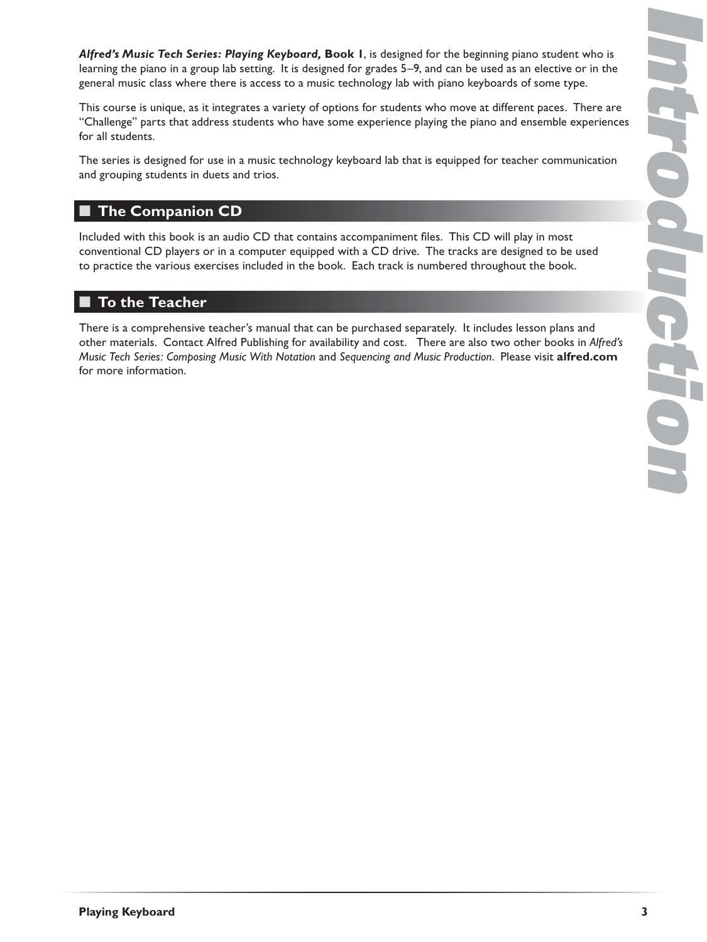*Alfred's Music Tech Series: Playing Keyboard,* **Book 1**, is designed for the beginning piano student who is learning the piano in a group lab setting. It is designed for grades 5–9, and can be used as an elective or in the general music class where there is access to a music technology lab with piano keyboards of some type.

This course is unique, as it integrates a variety of options for students who move at different paces. There are "Challenge" parts that address students who have some experience playing the piano and ensemble experiences for all students.

The series is designed for use in a music technology keyboard lab that is equipped for teacher communication and grouping students in duets and trios.

#### **The Companion CD** ■

Included with this book is an audio CD that contains accompaniment files. This CD will play in most conventional CD players or in a computer equipped with a CD drive. The tracks are designed to be used to practice the various exercises included in the book. Each track is numbered throughout the book.

## ■ To the Teacher

There is a comprehensive teacher's manual that can be purchased separately. It includes lesson plans and other materials. Contact Alfred Publishing for availability and cost. There are also two other books in *Alfred's Music Tech Series: Composing Music With Notation* and *Sequencing and Music Production*. Please visit **alfred.com** for more information.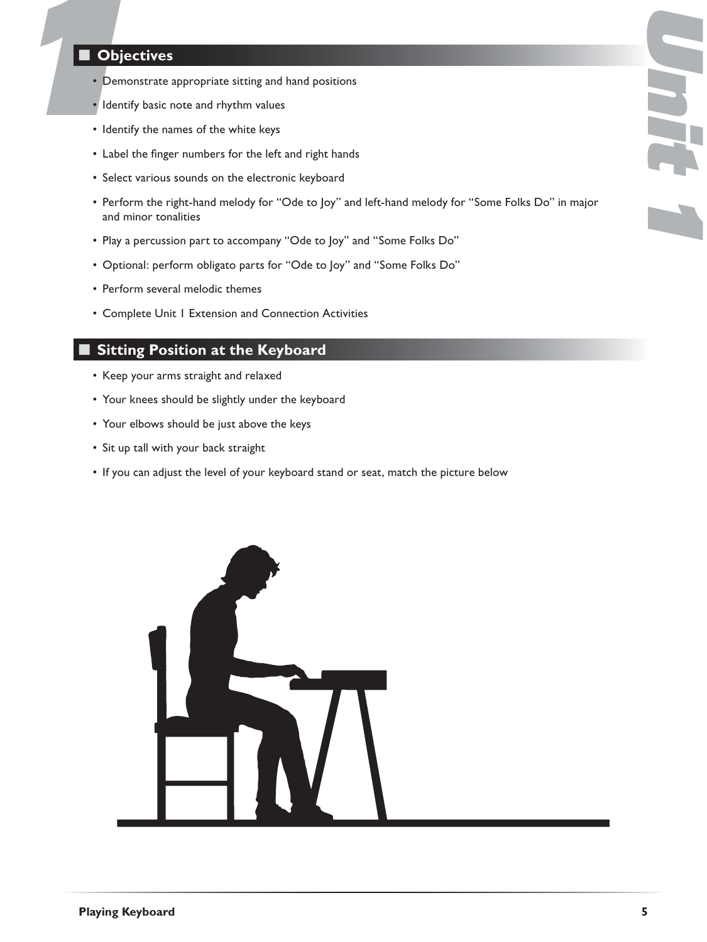# **1Objectives**<br> **1Objectives**<br> **11**<br> **1**<br> **1**<br> **1**<br> **1**<br> **1**<br> **1** ■

- Demonstrate appropriate sitting and hand positions
- Identify basic note and rhythm values
- Identify the names of the white keys
- Label the finger numbers for the left and right hands
- Select various sounds on the electronic keyboard
- Perform the right-hand melody for "Ode to Joy" and left-hand melody for "Some Folks Do" in major and minor tonalities
- Play a percussion part to accompany "Ode to Joy" and "Some Folks Do"
- Optional: perform obligato parts for "Ode to Joy" and "Some Folks Do"
- Perform several melodic themes
- Complete Unit 1 Extension and Connection Activities

## ■ Sitting Position at the Keyboard

- Keep your arms straight and relaxed
- Your knees should be slightly under the keyboard
- Your elbows should be just above the keys
- Sit up tall with your back straight
- If you can adjust the level of your keyboard stand or seat, match the picture below



*Unit 1*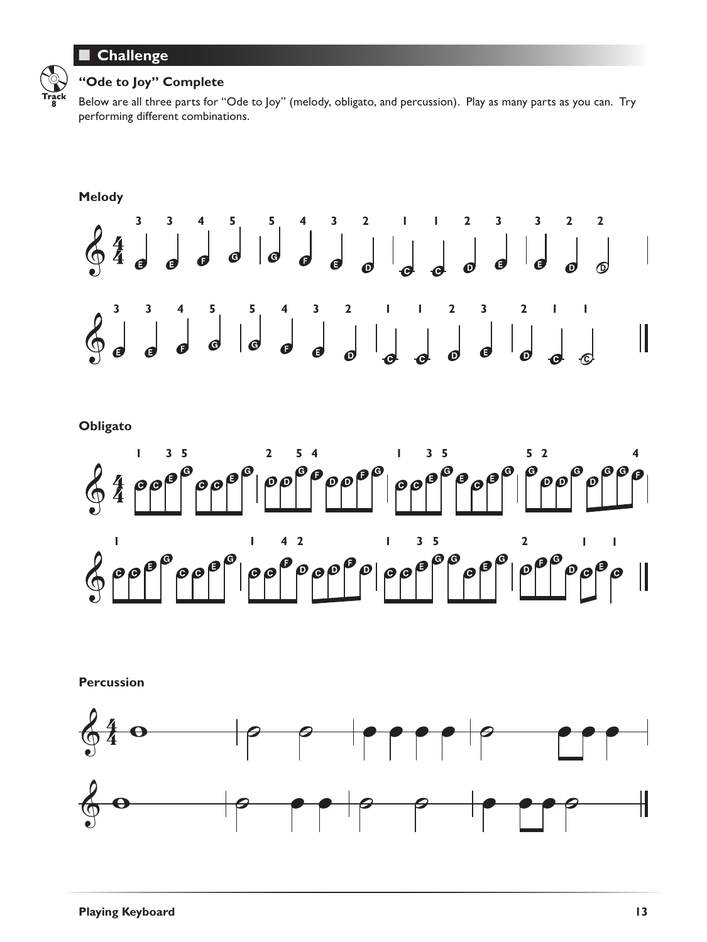#### **Challenge** ■



#### **"Ode to Joy" Complete**

Below are all three parts for "Ode to Joy" (melody, obligato, and percussion). Play as many parts as you can. Try performing different combinations.



**Obligato**



**Percussion**